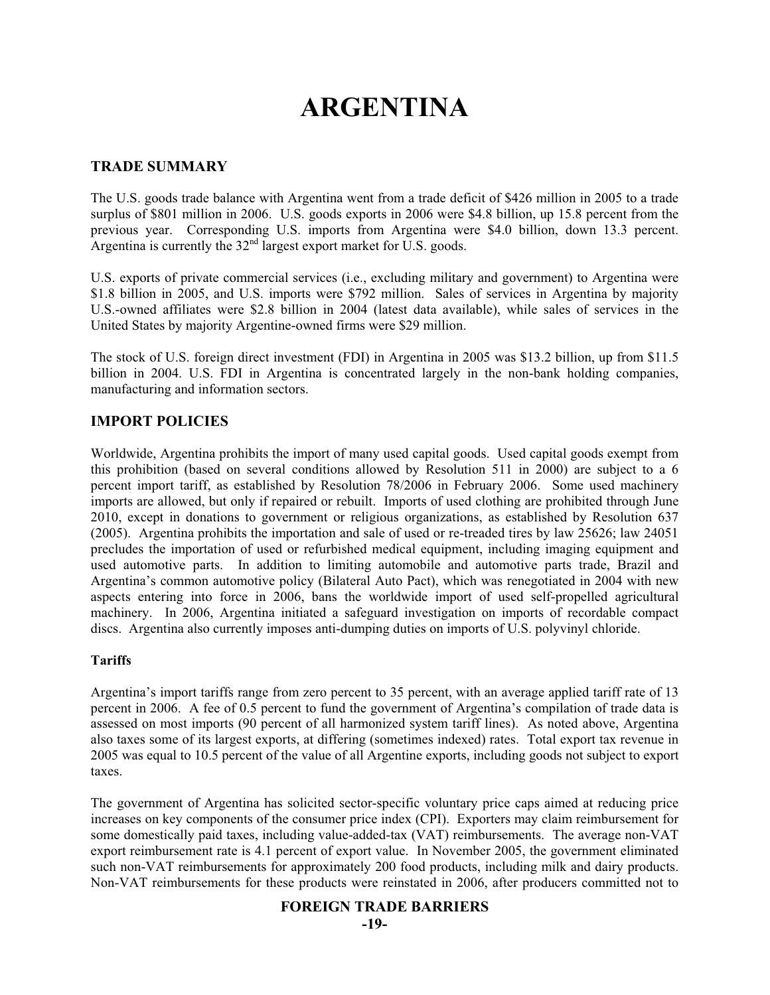# **ARGENTINA**

## **TRADE SUMMARY**

The U.S. goods trade balance with Argentina went from a trade deficit of \$426 million in 2005 to a trade surplus of \$801 million in 2006. U.S. goods exports in 2006 were \$4.8 billion, up 15.8 percent from the previous year. Corresponding U.S. imports from Argentina were \$4.0 billion, down 13.3 percent. Argentina is currently the  $32<sup>nd</sup>$  largest export market for U.S. goods.

U.S. exports of private commercial services (i.e., excluding military and government) to Argentina were \$1.8 billion in 2005, and U.S. imports were \$792 million. Sales of services in Argentina by majority U.S.-owned affiliates were \$2.8 billion in 2004 (latest data available), while sales of services in the United States by majority Argentine-owned firms were \$29 million.

The stock of U.S. foreign direct investment (FDI) in Argentina in 2005 was \$13.2 billion, up from \$11.5 billion in 2004. U.S. FDI in Argentina is concentrated largely in the non-bank holding companies, manufacturing and information sectors.

## **IMPORT POLICIES**

Worldwide, Argentina prohibits the import of many used capital goods. Used capital goods exempt from this prohibition (based on several conditions allowed by Resolution 511 in 2000) are subject to a 6 percent import tariff, as established by Resolution 78/2006 in February 2006. Some used machinery imports are allowed, but only if repaired or rebuilt. Imports of used clothing are prohibited through June 2010, except in donations to government or religious organizations, as established by Resolution 637 (2005). Argentina prohibits the importation and sale of used or re-treaded tires by law 25626; law 24051 precludes the importation of used or refurbished medical equipment, including imaging equipment and used automotive parts. In addition to limiting automobile and automotive parts trade, Brazil and Argentina's common automotive policy (Bilateral Auto Pact), which was renegotiated in 2004 with new aspects entering into force in 2006, bans the worldwide import of used self-propelled agricultural machinery. In 2006, Argentina initiated a safeguard investigation on imports of recordable compact discs. Argentina also currently imposes anti-dumping duties on imports of U.S. polyvinyl chloride.

#### **Tariffs**

Argentina's import tariffs range from zero percent to 35 percent, with an average applied tariff rate of 13 percent in 2006. A fee of 0.5 percent to fund the government of Argentina's compilation of trade data is assessed on most imports (90 percent of all harmonized system tariff lines). As noted above, Argentina also taxes some of its largest exports, at differing (sometimes indexed) rates. Total export tax revenue in 2005 was equal to 10.5 percent of the value of all Argentine exports, including goods not subject to export taxes.

The government of Argentina has solicited sector-specific voluntary price caps aimed at reducing price increases on key components of the consumer price index (CPI). Exporters may claim reimbursement for some domestically paid taxes, including value-added-tax (VAT) reimbursements. The average non-VAT export reimbursement rate is 4.1 percent of export value. In November 2005, the government eliminated such non-VAT reimbursements for approximately 200 food products, including milk and dairy products. Non-VAT reimbursements for these products were reinstated in 2006, after producers committed not to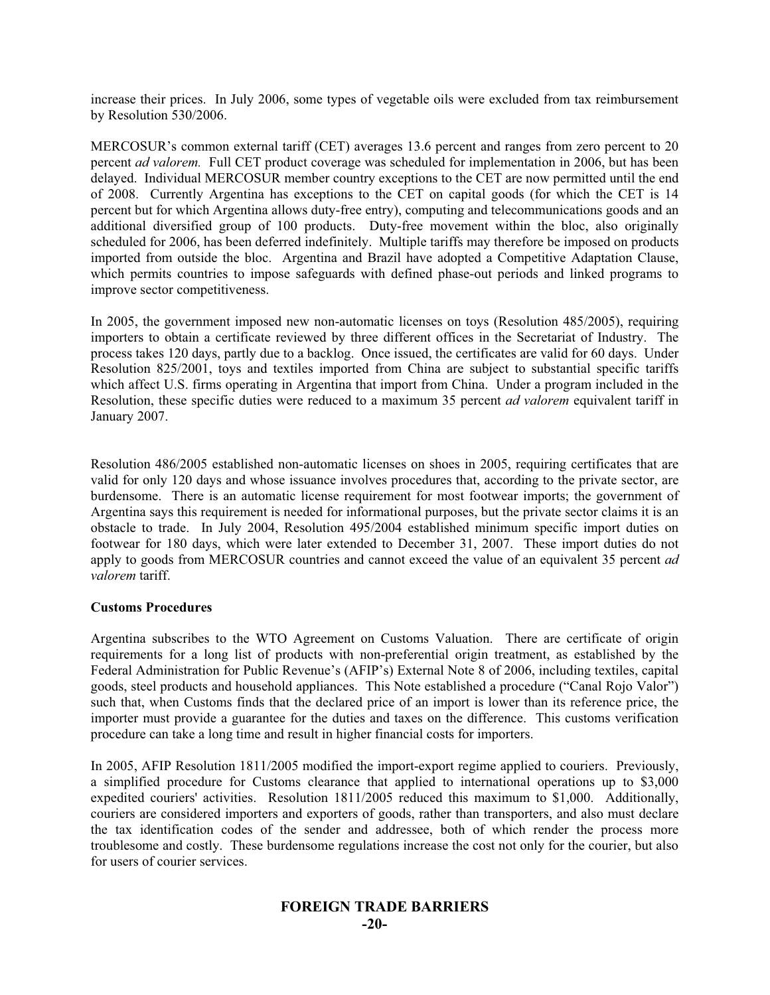increase their prices. In July 2006, some types of vegetable oils were excluded from tax reimbursement by Resolution 530/2006.

MERCOSUR's common external tariff (CET) averages 13.6 percent and ranges from zero percent to 20 percent *ad valorem.* Full CET product coverage was scheduled for implementation in 2006, but has been delayed. Individual MERCOSUR member country exceptions to the CET are now permitted until the end of 2008. Currently Argentina has exceptions to the CET on capital goods (for which the CET is 14 percent but for which Argentina allows duty-free entry), computing and telecommunications goods and an additional diversified group of 100 products. Duty-free movement within the bloc, also originally scheduled for 2006, has been deferred indefinitely. Multiple tariffs may therefore be imposed on products imported from outside the bloc. Argentina and Brazil have adopted a Competitive Adaptation Clause, which permits countries to impose safeguards with defined phase-out periods and linked programs to improve sector competitiveness.

In 2005, the government imposed new non-automatic licenses on toys (Resolution 485/2005), requiring importers to obtain a certificate reviewed by three different offices in the Secretariat of Industry. The process takes 120 days, partly due to a backlog. Once issued, the certificates are valid for 60 days. Under Resolution 825/2001, toys and textiles imported from China are subject to substantial specific tariffs which affect U.S. firms operating in Argentina that import from China. Under a program included in the Resolution, these specific duties were reduced to a maximum 35 percent *ad valorem* equivalent tariff in January 2007.

Resolution 486/2005 established non-automatic licenses on shoes in 2005, requiring certificates that are valid for only 120 days and whose issuance involves procedures that, according to the private sector, are burdensome. There is an automatic license requirement for most footwear imports; the government of Argentina says this requirement is needed for informational purposes, but the private sector claims it is an obstacle to trade. In July 2004, Resolution 495/2004 established minimum specific import duties on footwear for 180 days, which were later extended to December 31, 2007. These import duties do not apply to goods from MERCOSUR countries and cannot exceed the value of an equivalent 35 percent *ad valorem* tariff.

#### **Customs Procedures**

Argentina subscribes to the WTO Agreement on Customs Valuation. There are certificate of origin requirements for a long list of products with non-preferential origin treatment, as established by the Federal Administration for Public Revenue's (AFIP's) External Note 8 of 2006, including textiles, capital goods, steel products and household appliances. This Note established a procedure ("Canal Rojo Valor") such that, when Customs finds that the declared price of an import is lower than its reference price, the importer must provide a guarantee for the duties and taxes on the difference. This customs verification procedure can take a long time and result in higher financial costs for importers.

In 2005, AFIP Resolution 1811/2005 modified the import-export regime applied to couriers. Previously, a simplified procedure for Customs clearance that applied to international operations up to \$3,000 expedited couriers' activities. Resolution 1811/2005 reduced this maximum to \$1,000. Additionally, couriers are considered importers and exporters of goods, rather than transporters, and also must declare the tax identification codes of the sender and addressee, both of which render the process more troublesome and costly. These burdensome regulations increase the cost not only for the courier, but also for users of courier services.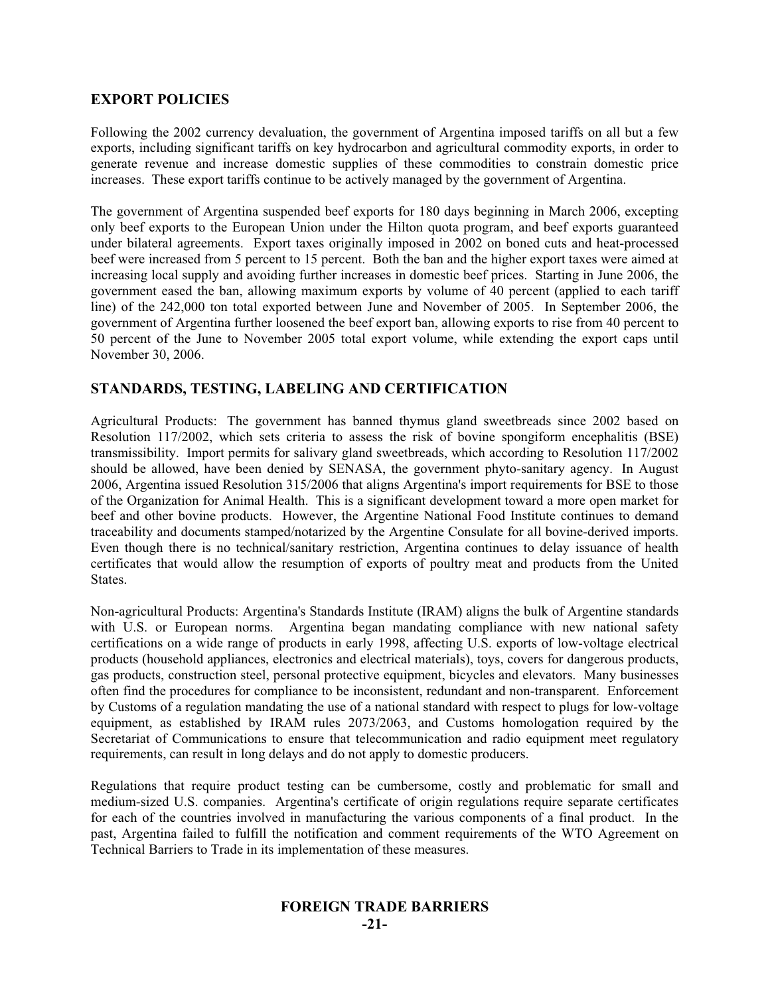## **EXPORT POLICIES**

Following the 2002 currency devaluation, the government of Argentina imposed tariffs on all but a few exports, including significant tariffs on key hydrocarbon and agricultural commodity exports, in order to generate revenue and increase domestic supplies of these commodities to constrain domestic price increases. These export tariffs continue to be actively managed by the government of Argentina.

The government of Argentina suspended beef exports for 180 days beginning in March 2006, excepting only beef exports to the European Union under the Hilton quota program, and beef exports guaranteed under bilateral agreements. Export taxes originally imposed in 2002 on boned cuts and heat-processed beef were increased from 5 percent to 15 percent. Both the ban and the higher export taxes were aimed at increasing local supply and avoiding further increases in domestic beef prices. Starting in June 2006, the government eased the ban, allowing maximum exports by volume of 40 percent (applied to each tariff line) of the 242,000 ton total exported between June and November of 2005. In September 2006, the government of Argentina further loosened the beef export ban, allowing exports to rise from 40 percent to 50 percent of the June to November 2005 total export volume, while extending the export caps until November 30, 2006.

## **STANDARDS, TESTING, LABELING AND CERTIFICATION**

Agricultural Products: The government has banned thymus gland sweetbreads since 2002 based on Resolution 117/2002, which sets criteria to assess the risk of bovine spongiform encephalitis (BSE) transmissibility. Import permits for salivary gland sweetbreads, which according to Resolution 117/2002 should be allowed, have been denied by SENASA, the government phyto-sanitary agency. In August 2006, Argentina issued Resolution 315/2006 that aligns Argentina's import requirements for BSE to those of the Organization for Animal Health. This is a significant development toward a more open market for beef and other bovine products. However, the Argentine National Food Institute continues to demand traceability and documents stamped/notarized by the Argentine Consulate for all bovine-derived imports. Even though there is no technical/sanitary restriction, Argentina continues to delay issuance of health certificates that would allow the resumption of exports of poultry meat and products from the United States.

Non-agricultural Products: Argentina's Standards Institute (IRAM) aligns the bulk of Argentine standards with U.S. or European norms. Argentina began mandating compliance with new national safety certifications on a wide range of products in early 1998, affecting U.S. exports of low-voltage electrical products (household appliances, electronics and electrical materials), toys, covers for dangerous products, gas products, construction steel, personal protective equipment, bicycles and elevators. Many businesses often find the procedures for compliance to be inconsistent, redundant and non-transparent. Enforcement by Customs of a regulation mandating the use of a national standard with respect to plugs for low-voltage equipment, as established by IRAM rules 2073/2063, and Customs homologation required by the Secretariat of Communications to ensure that telecommunication and radio equipment meet regulatory requirements, can result in long delays and do not apply to domestic producers.

Regulations that require product testing can be cumbersome, costly and problematic for small and medium-sized U.S. companies. Argentina's certificate of origin regulations require separate certificates for each of the countries involved in manufacturing the various components of a final product. In the past, Argentina failed to fulfill the notification and comment requirements of the WTO Agreement on Technical Barriers to Trade in its implementation of these measures.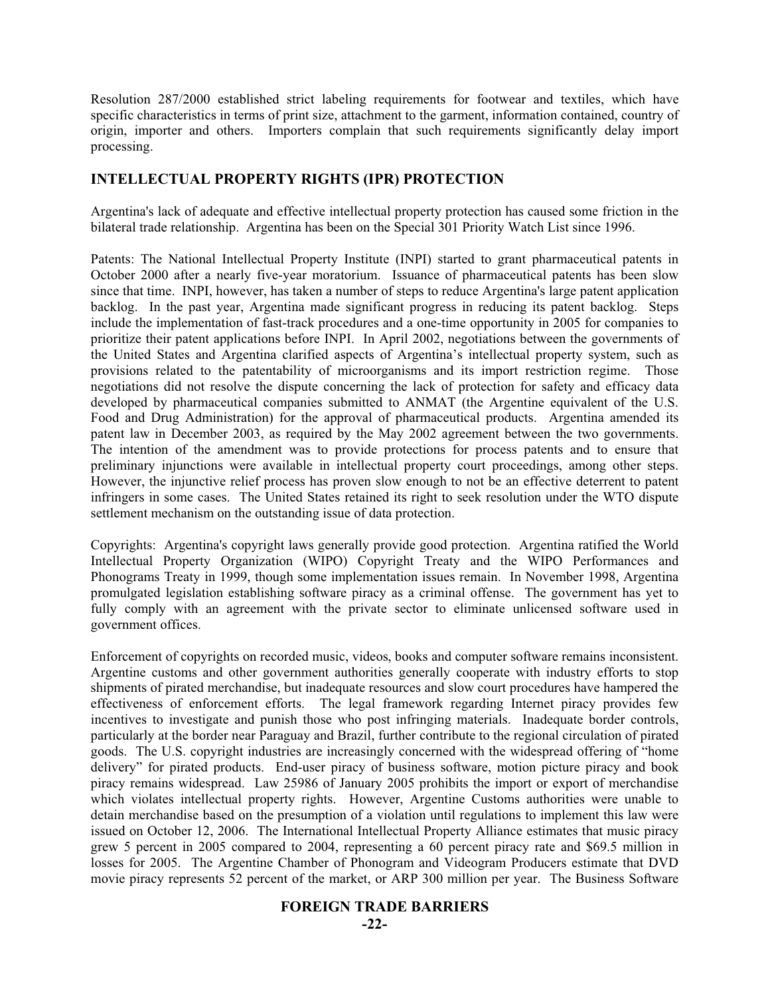Resolution 287/2000 established strict labeling requirements for footwear and textiles, which have specific characteristics in terms of print size, attachment to the garment, information contained, country of origin, importer and others. Importers complain that such requirements significantly delay import processing.

## **INTELLECTUAL PROPERTY RIGHTS (IPR) PROTECTION**

Argentina's lack of adequate and effective intellectual property protection has caused some friction in the bilateral trade relationship. Argentina has been on the Special 301 Priority Watch List since 1996.

Patents: The National Intellectual Property Institute (INPI) started to grant pharmaceutical patents in October 2000 after a nearly five-year moratorium. Issuance of pharmaceutical patents has been slow since that time. INPI, however, has taken a number of steps to reduce Argentina's large patent application backlog. In the past year, Argentina made significant progress in reducing its patent backlog. Steps include the implementation of fast-track procedures and a one-time opportunity in 2005 for companies to prioritize their patent applications before INPI. In April 2002, negotiations between the governments of the United States and Argentina clarified aspects of Argentina's intellectual property system, such as provisions related to the patentability of microorganisms and its import restriction regime. Those negotiations did not resolve the dispute concerning the lack of protection for safety and efficacy data developed by pharmaceutical companies submitted to ANMAT (the Argentine equivalent of the U.S. Food and Drug Administration) for the approval of pharmaceutical products. Argentina amended its patent law in December 2003, as required by the May 2002 agreement between the two governments. The intention of the amendment was to provide protections for process patents and to ensure that preliminary injunctions were available in intellectual property court proceedings, among other steps. However, the injunctive relief process has proven slow enough to not be an effective deterrent to patent infringers in some cases. The United States retained its right to seek resolution under the WTO dispute settlement mechanism on the outstanding issue of data protection.

Copyrights: Argentina's copyright laws generally provide good protection. Argentina ratified the World Intellectual Property Organization (WIPO) Copyright Treaty and the WIPO Performances and Phonograms Treaty in 1999, though some implementation issues remain. In November 1998, Argentina promulgated legislation establishing software piracy as a criminal offense. The government has yet to fully comply with an agreement with the private sector to eliminate unlicensed software used in government offices.

Enforcement of copyrights on recorded music, videos, books and computer software remains inconsistent. Argentine customs and other government authorities generally cooperate with industry efforts to stop shipments of pirated merchandise, but inadequate resources and slow court procedures have hampered the effectiveness of enforcement efforts. The legal framework regarding Internet piracy provides few incentives to investigate and punish those who post infringing materials. Inadequate border controls, particularly at the border near Paraguay and Brazil, further contribute to the regional circulation of pirated goods. The U.S. copyright industries are increasingly concerned with the widespread offering of "home delivery" for pirated products. End-user piracy of business software, motion picture piracy and book piracy remains widespread. Law 25986 of January 2005 prohibits the import or export of merchandise which violates intellectual property rights. However, Argentine Customs authorities were unable to detain merchandise based on the presumption of a violation until regulations to implement this law were issued on October 12, 2006. The International Intellectual Property Alliance estimates that music piracy grew 5 percent in 2005 compared to 2004, representing a 60 percent piracy rate and \$69.5 million in losses for 2005. The Argentine Chamber of Phonogram and Videogram Producers estimate that DVD movie piracy represents 52 percent of the market, or ARP 300 million per year. The Business Software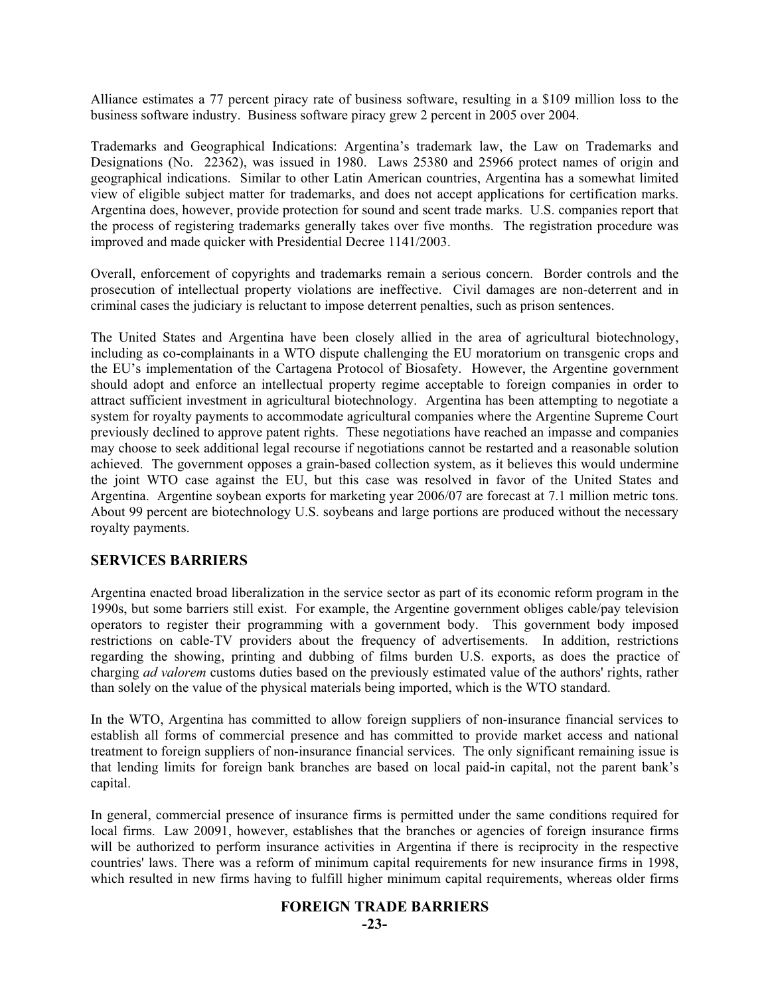Alliance estimates a 77 percent piracy rate of business software, resulting in a \$109 million loss to the business software industry. Business software piracy grew 2 percent in 2005 over 2004.

Trademarks and Geographical Indications: Argentina's trademark law, the Law on Trademarks and Designations (No. 22362), was issued in 1980. Laws 25380 and 25966 protect names of origin and geographical indications. Similar to other Latin American countries, Argentina has a somewhat limited view of eligible subject matter for trademarks, and does not accept applications for certification marks. Argentina does, however, provide protection for sound and scent trade marks. U.S. companies report that the process of registering trademarks generally takes over five months. The registration procedure was improved and made quicker with Presidential Decree 1141/2003.

Overall, enforcement of copyrights and trademarks remain a serious concern. Border controls and the prosecution of intellectual property violations are ineffective. Civil damages are non-deterrent and in criminal cases the judiciary is reluctant to impose deterrent penalties, such as prison sentences.

The United States and Argentina have been closely allied in the area of agricultural biotechnology, including as co-complainants in a WTO dispute challenging the EU moratorium on transgenic crops and the EU's implementation of the Cartagena Protocol of Biosafety. However, the Argentine government should adopt and enforce an intellectual property regime acceptable to foreign companies in order to attract sufficient investment in agricultural biotechnology. Argentina has been attempting to negotiate a system for royalty payments to accommodate agricultural companies where the Argentine Supreme Court previously declined to approve patent rights. These negotiations have reached an impasse and companies may choose to seek additional legal recourse if negotiations cannot be restarted and a reasonable solution achieved. The government opposes a grain-based collection system, as it believes this would undermine the joint WTO case against the EU, but this case was resolved in favor of the United States and Argentina. Argentine soybean exports for marketing year 2006/07 are forecast at 7.1 million metric tons. About 99 percent are biotechnology U.S. soybeans and large portions are produced without the necessary royalty payments.

## **SERVICES BARRIERS**

Argentina enacted broad liberalization in the service sector as part of its economic reform program in the 1990s, but some barriers still exist. For example, the Argentine government obliges cable/pay television operators to register their programming with a government body. This government body imposed restrictions on cable-TV providers about the frequency of advertisements. In addition, restrictions regarding the showing, printing and dubbing of films burden U.S. exports, as does the practice of charging *ad valorem* customs duties based on the previously estimated value of the authors' rights, rather than solely on the value of the physical materials being imported, which is the WTO standard.

In the WTO, Argentina has committed to allow foreign suppliers of non-insurance financial services to establish all forms of commercial presence and has committed to provide market access and national treatment to foreign suppliers of non-insurance financial services. The only significant remaining issue is that lending limits for foreign bank branches are based on local paid-in capital, not the parent bank's capital.

In general, commercial presence of insurance firms is permitted under the same conditions required for local firms. Law 20091, however, establishes that the branches or agencies of foreign insurance firms will be authorized to perform insurance activities in Argentina if there is reciprocity in the respective countries' laws. There was a reform of minimum capital requirements for new insurance firms in 1998, which resulted in new firms having to fulfill higher minimum capital requirements, whereas older firms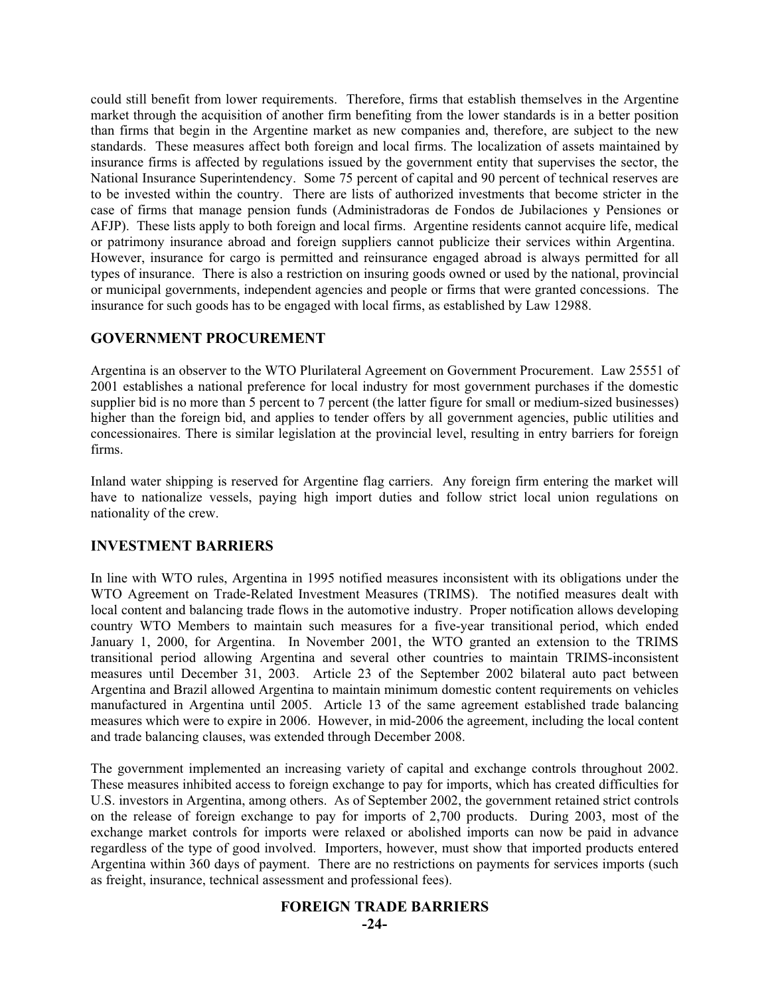could still benefit from lower requirements. Therefore, firms that establish themselves in the Argentine market through the acquisition of another firm benefiting from the lower standards is in a better position than firms that begin in the Argentine market as new companies and, therefore, are subject to the new standards. These measures affect both foreign and local firms. The localization of assets maintained by insurance firms is affected by regulations issued by the government entity that supervises the sector, the National Insurance Superintendency. Some 75 percent of capital and 90 percent of technical reserves are to be invested within the country. There are lists of authorized investments that become stricter in the case of firms that manage pension funds (Administradoras de Fondos de Jubilaciones y Pensiones or AFJP). These lists apply to both foreign and local firms. Argentine residents cannot acquire life, medical or patrimony insurance abroad and foreign suppliers cannot publicize their services within Argentina. However, insurance for cargo is permitted and reinsurance engaged abroad is always permitted for all types of insurance. There is also a restriction on insuring goods owned or used by the national, provincial or municipal governments, independent agencies and people or firms that were granted concessions. The insurance for such goods has to be engaged with local firms, as established by Law 12988.

## **GOVERNMENT PROCUREMENT**

Argentina is an observer to the WTO Plurilateral Agreement on Government Procurement. Law 25551 of 2001 establishes a national preference for local industry for most government purchases if the domestic supplier bid is no more than 5 percent to 7 percent (the latter figure for small or medium-sized businesses) higher than the foreign bid, and applies to tender offers by all government agencies, public utilities and concessionaires. There is similar legislation at the provincial level, resulting in entry barriers for foreign firms.

Inland water shipping is reserved for Argentine flag carriers. Any foreign firm entering the market will have to nationalize vessels, paying high import duties and follow strict local union regulations on nationality of the crew.

## **INVESTMENT BARRIERS**

In line with WTO rules, Argentina in 1995 notified measures inconsistent with its obligations under the WTO Agreement on Trade-Related Investment Measures (TRIMS). The notified measures dealt with local content and balancing trade flows in the automotive industry. Proper notification allows developing country WTO Members to maintain such measures for a five-year transitional period, which ended January 1, 2000, for Argentina. In November 2001, the WTO granted an extension to the TRIMS transitional period allowing Argentina and several other countries to maintain TRIMS-inconsistent measures until December 31, 2003. Article 23 of the September 2002 bilateral auto pact between Argentina and Brazil allowed Argentina to maintain minimum domestic content requirements on vehicles manufactured in Argentina until 2005. Article 13 of the same agreement established trade balancing measures which were to expire in 2006. However, in mid-2006 the agreement, including the local content and trade balancing clauses, was extended through December 2008.

The government implemented an increasing variety of capital and exchange controls throughout 2002. These measures inhibited access to foreign exchange to pay for imports, which has created difficulties for U.S. investors in Argentina, among others. As of September 2002, the government retained strict controls on the release of foreign exchange to pay for imports of 2,700 products. During 2003, most of the exchange market controls for imports were relaxed or abolished imports can now be paid in advance regardless of the type of good involved. Importers, however, must show that imported products entered Argentina within 360 days of payment. There are no restrictions on payments for services imports (such as freight, insurance, technical assessment and professional fees).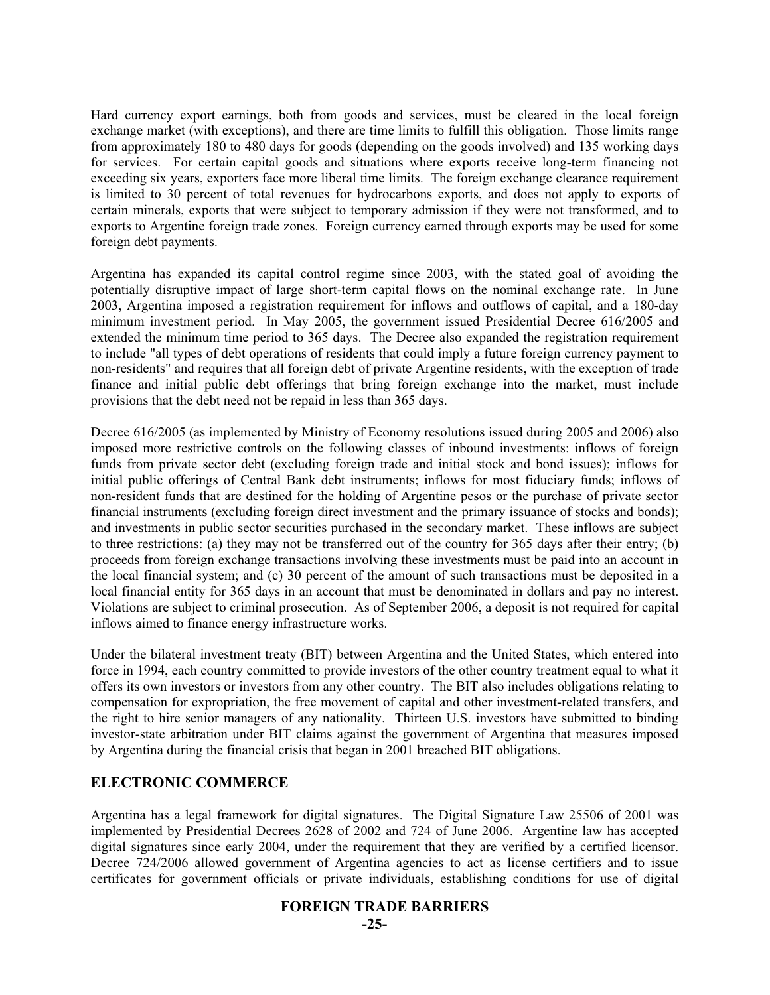Hard currency export earnings, both from goods and services, must be cleared in the local foreign exchange market (with exceptions), and there are time limits to fulfill this obligation. Those limits range from approximately 180 to 480 days for goods (depending on the goods involved) and 135 working days for services. For certain capital goods and situations where exports receive long-term financing not exceeding six years, exporters face more liberal time limits. The foreign exchange clearance requirement is limited to 30 percent of total revenues for hydrocarbons exports, and does not apply to exports of certain minerals, exports that were subject to temporary admission if they were not transformed, and to exports to Argentine foreign trade zones. Foreign currency earned through exports may be used for some foreign debt payments.

Argentina has expanded its capital control regime since 2003, with the stated goal of avoiding the potentially disruptive impact of large short-term capital flows on the nominal exchange rate. In June 2003, Argentina imposed a registration requirement for inflows and outflows of capital, and a 180-day minimum investment period. In May 2005, the government issued Presidential Decree 616/2005 and extended the minimum time period to 365 days. The Decree also expanded the registration requirement to include "all types of debt operations of residents that could imply a future foreign currency payment to non-residents" and requires that all foreign debt of private Argentine residents, with the exception of trade finance and initial public debt offerings that bring foreign exchange into the market, must include provisions that the debt need not be repaid in less than 365 days.

Decree 616/2005 (as implemented by Ministry of Economy resolutions issued during 2005 and 2006) also imposed more restrictive controls on the following classes of inbound investments: inflows of foreign funds from private sector debt (excluding foreign trade and initial stock and bond issues); inflows for initial public offerings of Central Bank debt instruments; inflows for most fiduciary funds; inflows of non-resident funds that are destined for the holding of Argentine pesos or the purchase of private sector financial instruments (excluding foreign direct investment and the primary issuance of stocks and bonds); and investments in public sector securities purchased in the secondary market. These inflows are subject to three restrictions: (a) they may not be transferred out of the country for 365 days after their entry; (b) proceeds from foreign exchange transactions involving these investments must be paid into an account in the local financial system; and (c) 30 percent of the amount of such transactions must be deposited in a local financial entity for 365 days in an account that must be denominated in dollars and pay no interest. Violations are subject to criminal prosecution. As of September 2006, a deposit is not required for capital inflows aimed to finance energy infrastructure works.

Under the bilateral investment treaty (BIT) between Argentina and the United States, which entered into force in 1994, each country committed to provide investors of the other country treatment equal to what it offers its own investors or investors from any other country. The BIT also includes obligations relating to compensation for expropriation, the free movement of capital and other investment-related transfers, and the right to hire senior managers of any nationality. Thirteen U.S. investors have submitted to binding investor-state arbitration under BIT claims against the government of Argentina that measures imposed by Argentina during the financial crisis that began in 2001 breached BIT obligations.

## **ELECTRONIC COMMERCE**

Argentina has a legal framework for digital signatures. The Digital Signature Law 25506 of 2001 was implemented by Presidential Decrees 2628 of 2002 and 724 of June 2006. Argentine law has accepted digital signatures since early 2004, under the requirement that they are verified by a certified licensor. Decree 724/2006 allowed government of Argentina agencies to act as license certifiers and to issue certificates for government officials or private individuals, establishing conditions for use of digital